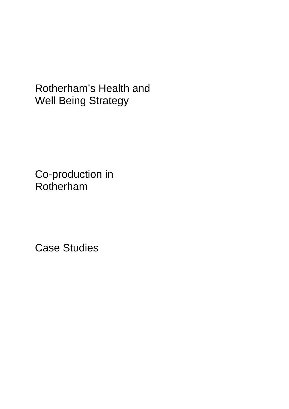Co-production in Rotherham

Case Studies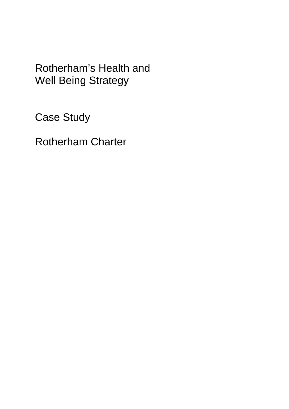Case Study

Rotherham Charter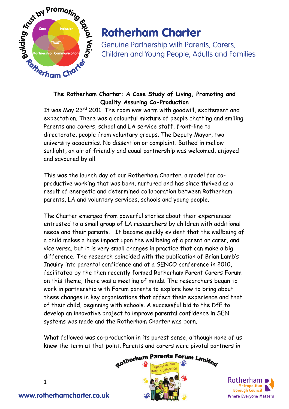

Genuine Partnership with Parents, Carers, Children and Young People, Adults and Families

### **The Rotherham Charter: A Case Study of Living, Promoting and Quality Assuring Co-Production**

It was May 23<sup>rd</sup> 2011. The room was warm with goodwill, excitement and expectation. There was a colourful mixture of people chatting and smiling. Parents and carers, school and LA service staff, front-line to directorate, people from voluntary groups. The Deputy Mayor, two university academics. No dissention or complaint. Bathed in mellow sunlight, an air of friendly and equal partnership was welcomed, enjoyed and savoured by all.

This was the launch day of our Rotherham Charter, a model for coproductive working that was born, nurtured and has since thrived as a result of energetic and determined collaboration between Rotherham parents, LA and voluntary services, schools and young people.

The Charter emerged from powerful stories about their experiences entrusted to a small group of LA researchers by children with additional needs and their parents. It became quickly evident that the wellbeing of a child makes a huge impact upon the wellbeing of a parent or carer, and vice versa, but it is very small changes in practice that can make a big difference. The research coincided with the publication of Brian Lamb's Inquiry into parental confidence and at a SENCO conference in 2010, facilitated by the then recently formed Rotherham Parent Carers Forum on this theme, there was a meeting of minds. The researchers began to work in partnership with Forum parents to explore how to bring about these changes in key organisations that affect their experience and that of their child, beginning with schools. A successful bid to the DfE to develop an innovative project to improve parental confidence in SEN systems was made and the Rotherham Charter was born.

What followed was co-production in its purest sense, although none of us





1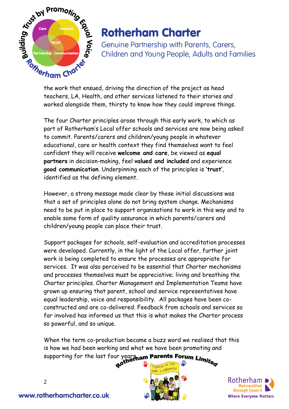

Genuine Partnership with Parents, Carers, Children and Young People, Adults and Families

teachers, LA, Health, and other services listened to their stories and worked alongside them, thirsty to know how they could improve things.

The four Charter principles arose through this early work, to which as part of Rotherham's Local offer schools and services are now being asked to commit. Parents/carers and children/young people in whatever educational, care or health context they find themselves want to feel confident they will receive **welcome and care**, be viewed as **equal partners** in decision-making, feel **valued and included** and experience **good communication**. Underpinning each of the principles is **'trust'**, identified as the defining element.

However, a strong message made clear by these initial discussions was that a set of principles alone do not bring system change. Mechanisms need to be put in place to support organisations to work in this way and to enable some form of quality assurance in which parents/carers and children/young people can place their trust.

Support packages for schools, self-evaluation and accreditation processes were developed. Currently, in the light of the Local offer, further joint work is being completed to ensure the processes are appropriate for services. It was also perceived to be essential that Charter mechanisms and processes themselves must be appreciative; living and breathing the Charter principles. Charter Management and Implementation Teams have grown up ensuring that parent, school and service representatives have equal leadership, voice and responsibility. All packages have been coconstructed and are co-delivered. Feedback from schools and services so far involved has informed us that this is what makes the Charter process so powerful, and so unique.

When the term co-production became a buzz word we realised that this is how we had been working and what we have been promoting and



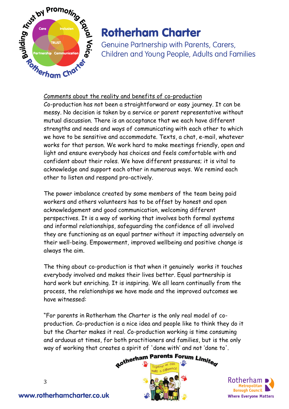

Genuine Partnership with Parents, Carers, Children and Young People, Adults and Families

### Comments about the reality and benefits of co-production

Co-production has not been a straightforward or easy journey. It can be messy. No decision is taken by a service or parent representative without mutual discussion. There is an acceptance that we each have different strengths and needs and ways of communicating with each other to which we have to be sensitive and accommodate. Texts, a chat, e-mail, whatever works for that person. We work hard to make meetings friendly, open and light and ensure everybody has choices and feels comfortable with and confident about their roles. We have different pressures; it is vital to acknowledge and support each other in numerous ways. We remind each other to listen and respond pro-actively.

The power imbalance created by some members of the team being paid workers and others volunteers has to be offset by honest and open acknowledgement and good communication, welcoming different perspectives. It is a way of working that involves both formal systems and informal relationships, safeguarding the confidence of all involved they are functioning as an equal partner without it impacting adversely on their well-being. Empowerment, improved wellbeing and positive change is always the aim.

The thing about co-production is that when it genuinely works it touches everybody involved and makes their lives better. Equal partnership is hard work but enriching. It is inspiring. We all learn continually from the process, the relationships we have made and the improved outcomes we have witnessed:

"For parents in Rotherham the Charter is the only real model of coproduction. Co-production is a nice idea and people like to think they do it but the Charter makes it real. Co-production working is time consuming and arduous at times, for both practitioners and families, but is the only



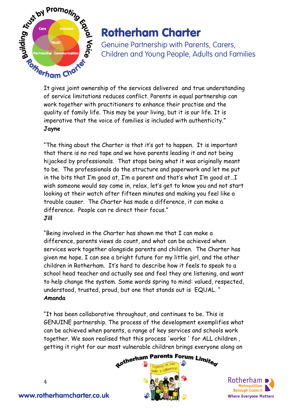

Genuine Partnership with Parents, Carers, Children and Young People, Adults and Families

It gives joint ownership of the services delivered and true understanding of service limitations reduces conflict. Parents in equal partnership can work together with practitioners to enhance their practise and the quality of family life. This may be your living, but it is our life. It is imperative that the voice of families is included with authenticity." **Jayne** 

"The thing about the Charter is that it's got to happen. It is important that there is no red tape and we have parents leading it and not being hijacked by professionals. That stops being what it was originally meant to be. The professionals do the structure and paperwork and let me put in the bits that I'm good at, I'm a parent and that's what I'm good at…I wish someone would say come in, relax, let's get to know you and not start looking at their watch after fifteen minutes and making you feel like a trouble causer. The Charter has made a difference, it can make a difference. People can re direct their focus." **Jill** 

"Being involved in the Charter has shown me that I can make a difference, parents views do count, and what can be achieved when services work together alongside parents and children. The Charter has given me hope. I can see a bright future for my little girl, and the other children in Rotherham. It's hard to describe how it feels to speak to a school head teacher and actually see and feel they are listening, and want to help change the system. Some words spring to mind: valued, respected, understood, trusted, proud, but one that stands out is EQUAL. " **Amanda** 

"It has been collaborative throughout, and continues to be. This is GENUINE partnership. The process of the development exemplifies what can be achieved when parents, a range of key services and schools work together. We soon realised that this process 'works ' for ALL children , getting it right for our most vulnerable children brings everyone along on





4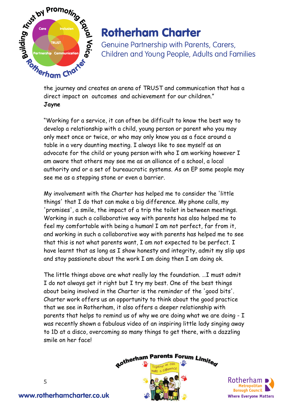

Genuine Partnership with Parents, Carers, Children and Young People, Adults and Families

the journey and creates an arena of TRUST and communication that has a direct impact on outcomes and achievement for our children." **Jayne** 

"Working for a service, it can often be difficult to know the best way to develop a relationship with a child, young person or parent who you may only meet once or twice, or who may only know you as a face around a table in a very daunting meeting. I always like to see myself as an advocate for the child or young person with who I am working however I am aware that others may see me as an alliance of a school, a local authority and or a set of bureaucratic systems. As an EP some people may see me as a stepping stone or even a barrier.

My involvement with the Charter has helped me to consider the 'little things' that I do that can make a big difference. My phone calls, my 'promises', a smile, the impact of a trip the toilet in between meetings. Working in such a collaborative way with parents has also helped me to feel my comfortable with being a human! I am not perfect, far from it, and working in such a collaborative way with parents has helped me to see that this is not what parents want, I am not expected to be perfect. I have learnt that as long as I show honesty and integrity, admit my slip ups and stay passionate about the work I am doing then I am doing ok.

The little things above are what really lay the foundation. …I must admit I do not always get it right but I try my best. One of the best things about being involved in the Charter is the reminder of the 'good bits'. Charter work offers us an opportunity to think about the good practice that we see in Rotherham, it also offers a deeper relationship with parents that helps to remind us of why we are doing what we are doing - I was recently shown a fabulous video of an inspiring little lady singing away to 1D at a disco, overcoming so many things to get there, with a dazzling smile on her face!



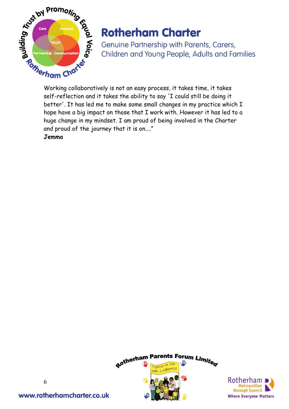

Genuine Partnership with Parents, Carers, Children and Young People, Adults and Families

self-reflection and it takes the ability to say 'I could still be doing it better'. It has led me to make some small changes in my practice which I hope have a big impact on those that I work with. However it has led to a huge change in my mindset. I am proud of being involved in the Charter and proud of the journey that it is on...."

**Jemma** 



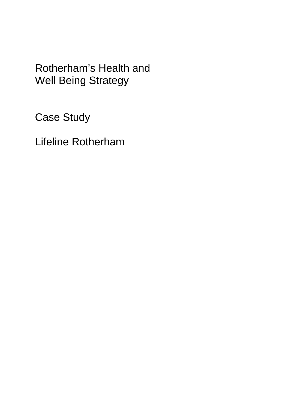Case Study

Lifeline Rotherham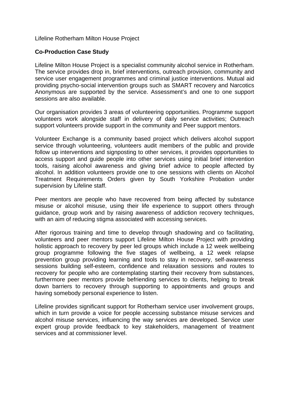#### Lifeline Rotherham Milton House Project

#### **Co-Production Case Study**

Lifeline Milton House Project is a specialist community alcohol service in Rotherham. The service provides drop in, brief interventions, outreach provision, community and service user engagement programmes and criminal justice interventions. Mutual aid providing psycho-social intervention groups such as SMART recovery and Narcotics Anonymous are supported by the service. Assessment's and one to one support sessions are also available.

Our organisation provides 3 areas of volunteering opportunities. Programme support volunteers work alongside staff in delivery of daily service activities; Outreach support volunteers provide support in the community and Peer support mentors.

Volunteer Exchange is a community based project which delivers alcohol support service through volunteering, volunteers audit members of the public and provide follow up interventions and signposting to other services, it provides opportunities to access support and guide people into other services using initial brief intervention tools, raising alcohol awareness and giving brief advice to people affected by alcohol. In addition volunteers provide one to one sessions with clients on Alcohol Treatment Requirements Orders given by South Yorkshire Probation under supervision by Lifeline staff.

Peer mentors are people who have recovered from being affected by substance misuse or alcohol misuse, using their life experience to support others through guidance, group work and by raising awareness of addiction recovery techniques, with an aim of reducing stigma associated with accessing services.

After rigorous training and time to develop through shadowing and co facilitating, volunteers and peer mentors support Lifeline Milton House Project with providing holistic approach to recovery by peer led groups which include a 12 week wellbeing group programme following the five stages of wellbeing, a 12 week relapse prevention group providing learning and tools to stay in recovery, self-awareness sessions building self-esteem, confidence and relaxation sessions and routes to recovery for people who are contemplating starting their recovery from substances, furthermore peer mentors provide befriending services to clients, helping to break down barriers to recovery through supporting to appointments and groups and having somebody personal experience to listen.

Lifeline provides significant support for Rotherham service user involvement groups, which in turn provide a voice for people accessing substance misuse services and alcohol misuse services, influencing the way services are developed. Service user expert group provide feedback to key stakeholders, management of treatment services and at commissioner level.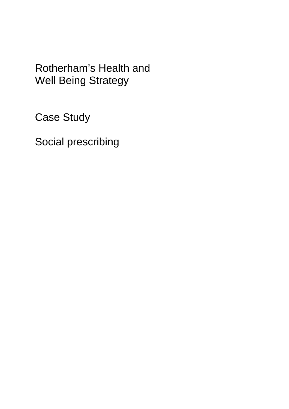Case Study

Social prescribing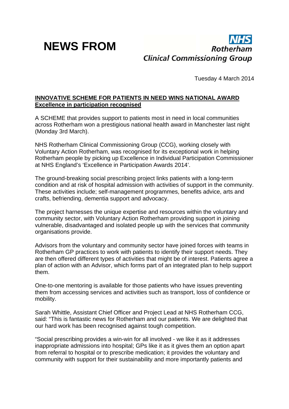## **NEWS FROM**



Tuesday 4 March 2014

### **INNOVATIVE SCHEME FOR PATIENTS IN NEED WINS NATIONAL AWARD Excellence in participation recognised**

A SCHEME that provides support to patients most in need in local communities across Rotherham won a prestigious national health award in Manchester last night (Monday 3rd March).

NHS Rotherham Clinical Commissioning Group (CCG), working closely with Voluntary Action Rotherham, was recognised for its exceptional work in helping Rotherham people by picking up Excellence in Individual Participation Commissioner at NHS England's 'Excellence in Participation Awards 2014'.

The ground-breaking social prescribing project links patients with a long-term condition and at risk of hospital admission with activities of support in the community. These activities include; self-management programmes, benefits advice, arts and crafts, befriending, dementia support and advocacy.

The project harnesses the unique expertise and resources within the voluntary and community sector, with Voluntary Action Rotherham providing support in joining vulnerable, disadvantaged and isolated people up with the services that community organisations provide.

Advisors from the voluntary and community sector have joined forces with teams in Rotherham GP practices to work with patients to identify their support needs. They are then offered different types of activities that might be of interest. Patients agree a plan of action with an Advisor, which forms part of an integrated plan to help support them.

One-to-one mentoring is available for those patients who have issues preventing them from accessing services and activities such as transport, loss of confidence or mobility.

Sarah Whittle, Assistant Chief Officer and Project Lead at NHS Rotherham CCG, said: "This is fantastic news for Rotherham and our patients. We are delighted that our hard work has been recognised against tough competition.

"Social prescribing provides a win-win for all involved - we like it as it addresses inappropriate admissions into hospital; GPs like it as it gives them an option apart from referral to hospital or to prescribe medication; it provides the voluntary and community with support for their sustainability and more importantly patients and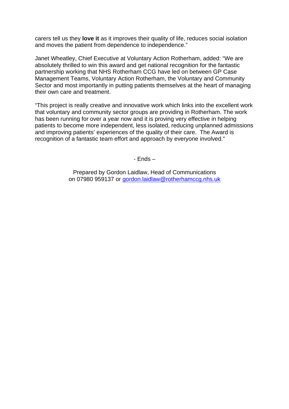carers tell us they **love it** as it improves their quality of life, reduces social isolation and moves the patient from dependence to independence."

Janet Wheatley, Chief Executive at Voluntary Action Rotherham, added: "We are absolutely thrilled to win this award and get national recognition for the fantastic partnership working that NHS Rotherham CCG have led on between GP Case Management Teams, Voluntary Action Rotherham, the Voluntary and Community Sector and most importantly in putting patients themselves at the heart of managing their own care and treatment.

"This project is really creative and innovative work which links into the excellent work that voluntary and community sector groups are providing in Rotherham. The work has been running for over a year now and it is proving very effective in helping patients to become more independent, less isolated, reducing unplanned admissions and improving patients' experiences of the quality of their care. The Award is recognition of a fantastic team effort and approach by everyone involved."

- Ends –

Prepared by Gordon Laidlaw, Head of Communications on 07980 959137 or gordon.laidlaw@rotherhamccg.nhs.uk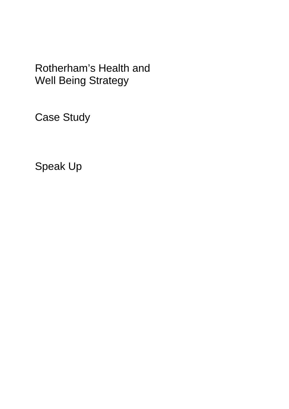Case Study

Speak Up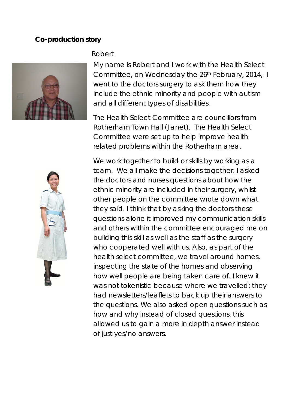### **Co-production story**





My name is Robert and I work with the Health Select Committee, on Wednesday the 26th February, 2014, I went to the doctors surgery to ask them how they include the ethnic minority and people with autism and all different types of disabilities.

The Health Select Committee are councillors from Rotherham Town Hall (Janet). The Health Select Committee were set up to help improve health related problems within the Rotherham area.



We work together to build or skills by working as a team. We all make the decisions together. I asked the doctors and nurses questions about how the ethnic minority are included in their surgery, whilst other people on the committee wrote down what they said. I think that by asking the doctors these questions alone it improved my communication skills and others within the committee encouraged me on building this skill as well as the staff as the surgery who cooperated well with us. Also, as part of the health select committee, we travel around homes, inspecting the state of the homes and observing how well people are being taken care of. I knew it was not tokenistic because where we travelled; they had newsletters/leaflets to back up their answers to the questions. We also asked open questions such as how and why instead of closed questions, this allowed us to gain a more in depth answer instead of just yes/no answers.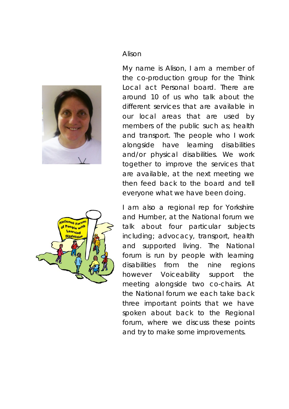

### Alison

My name is Alison, I am a member of the co-production group for the Think Local act Personal board. There are around 10 of us who talk about the different services that are available in our local areas that are used by members of the public such as; health and transport. The people who I work alongside have learning disabilities and/or physical disabilities. We work together to improve the services that are available, at the next meeting we then feed back to the board and tell everyone what we have been doing.



I am also a regional rep for Yorkshire and Humber, at the National forum we talk about four particular subjects including; advocacy, transport, health and supported living. The National forum is run by people with learning disabilities from the nine regions however Voiceability support the meeting alongside two co-chairs. At the National forum we each take back three important points that we have spoken about back to the Regional forum, where we discuss these points and try to make some improvements.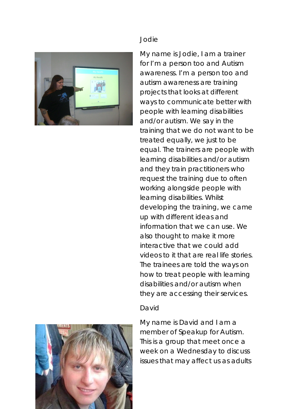

### Jodie

My name is Jodie, I am a trainer for I'm a person too and Autism awareness. I'm a person too and autism awareness are training projects that looks at different ways to communicate better with people with learning disabilities and/or autism. We say in the training that we do not want to be treated equally, we just to be equal. The trainers are people with learning disabilities and/or autism and they train practitioners who request the training due to often working alongside people with learning disabilities. Whilst developing the training, we came up with different ideas and information that we can use. We also thought to make it more interactive that we could add videos to it that are real life stories. The trainees are told the ways on how to treat people with learning disabilities and/or autism when they are accessing their services.

### David

My name is David and I am a member of Speakup for Autism. This is a group that meet once a week on a Wednesday to discuss issues that may affect us as adults